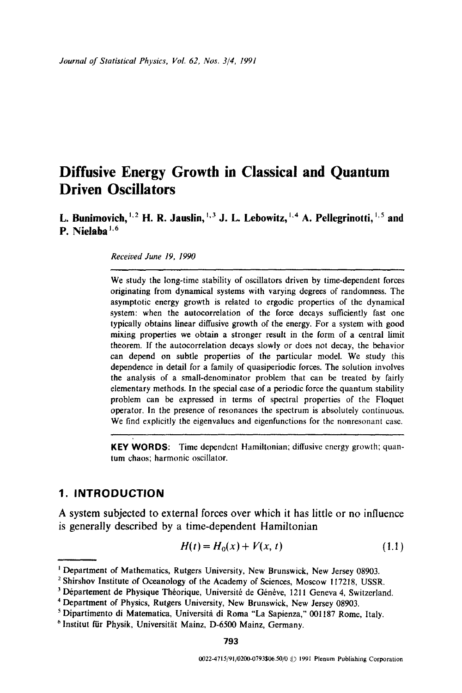# **Diffusive Energy Growth in Classical and Quantum Driven Oscillators**

**L. Bunimovich, <sup>1, 2</sup> H. R. Jauslin, <sup>1, 3</sup> J. L. Lebowitz, <sup>1, 4</sup> A. Pellegrinotti, <sup>1, 5</sup> and P. Nielaba 1.6** 

*Received June 19, 1990* 

We study the long-time stability of oscillators driven by time-dependent forces originating from dynamical systems with varying degrees of randomness. The asymptotic energy growth is related to ergodic properties of the dynamical system: when the autocorrelation of the force decays sufficiently fast one typically obtains linear diffusive growth of the energy. For a system with good mixing properties we obtain a stronger result in the form of a central limit theorem. If the autocorrelation decays slowly or does not decay, the behavior can depend on subtle properties of the particular model. We study this dependence in detail for a family of quasiperiodic forces. The solution involves the analysis of a small-denominator problem that can be treated by fairly elementary methods. In the special case of a periodic force the quantum stability problem can be expressed in terms of spectral properties of the Floquet operator. In the presence of resonances the spectrum is absolutely continuous. We find explicitly the eigenvalues and eigenfunctions for the nonresonant case.

**KEY WORDS:** Time dependent Hamiltonian; diffusive energy growth; quantum chaos; harmonic oscillator.

### **1. INTRODUCTION**

A system subjected to external forces over which it has little or no influence is generally described by a time-dependent Hamiltonian

$$
H(t) = H_0(x) + V(x, t)
$$
\n(1.1)

<sup>&</sup>lt;sup>1</sup> Department of Mathematics, Rutgers University, New Brunswick, New Jersey 08903.

<sup>&</sup>lt;sup>2</sup> Shirshov Institute of Oceanology of the Academy of Sciences, Moscow 117218, USSR.

<sup>&</sup>lt;sup>3</sup> Département de Physique Théorique, Université de Génève, 1211 Geneva 4, Switzerland.

<sup>4</sup> Department of Physics, Rutgers University, New Brunswick, New Jersey 08903.

<sup>&</sup>lt;sup>5</sup> Dipartimento di Matematica, Università di Roma "La Sapienza," 001187 Rome, Italy.

<sup>&</sup>lt;sup>6</sup> Institut für Physik, Universität Mainz, D-6500 Mainz, Germany.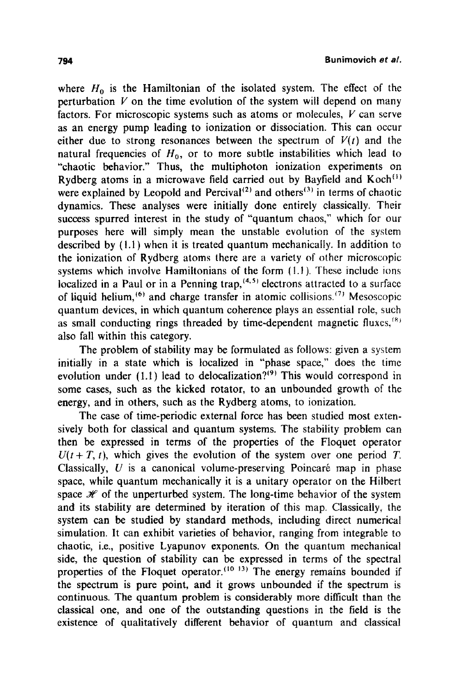where  $H_0$  is the Hamiltonian of the isolated system. The effect of the perturbation  $V$  on the time evolution of the system will depend on many factors. For microscopic systems such as atoms or molecules,  $V$  can serve as an energy pump leading to ionization or dissociation. This can occur either due to strong resonances between the spectrum of  $V(t)$  and the natural frequencies of  $H_0$ , or to more subtle instabilities which lead to "chaotic behavior." Thus, the multiphoton ionization experiments on Rydberg atoms in a microwave field carried out by Bayfield and  $Koch<sup>{(1)}</sup>$ were explained by Leopold and Percival<sup>(2)</sup> and others<sup>(3)</sup> in terms of chaotic dynamics. These analyses were initially done entirely classically. Their success spurred interest in the study of "quantum chaos," which for our purposes here will simply mean the unstable evolution of the system described by (1.1) when it is treated quantum mechanically. In addition to the ionization of Rydberg atoms there are a variety of other microscopic systems which involve Hamiltonians of the form  $(1.1)$ . These include ions localized in a Paul or in a Penning trap,  $(4,5)$  electrons attracted to a surface of liquid helium,  $^{(6)}$  and charge transfer in atomic collisions. <sup>(7)</sup> Mesoscopic quantum devices, in which quantum coherence plays an essential role, such as small conducting rings threaded by time-dependent magnetic fluxes,  $(8)$ also fall within this category.

The problem of stability may be formulated as follows: given a system initially in a state which is localized in "phase space," does the time evolution under (1.1) lead to delocalization?<sup>(9)</sup> This would correspond in some cases, such as the kicked rotator, to an unbounded growth of the energy, and in others, such as the Rydberg atoms, to ionization.

The case of time-periodic external force has been studied most extensively both for classical and quantum systems. The stability problem can then be expressed in terms of the properties of the Floquet operator  $U(t + T, t)$ , which gives the evolution of the system over one period T. Classically,  $U$  is a canonical volume-preserving Poincaré map in phase space, while quantum mechanically it is a unitary operator on the Hilbert space  $\mathcal K$  of the unperturbed system. The long-time behavior of the system and its stability are determined by iteration of this map. Classically, the system can be studied by standard methods, including direct numerical simulation. It can exhibit varieties of behavior, ranging from integrable to chaotic, i.e., positive Lyapunov exponents. On the quantum mechanical side, the question of stability can be expressed in terms of the spectral properties of the Floquet operator.  $(10, 13)$  The energy remains bounded if the spectrum is pure point, and it grows unbounded if the spectrum is continuous. The quantum problem is considerably more difficult than the classical one, and one of the outstanding questions in the field is the existence of qualitatively different behavior of quantum and classical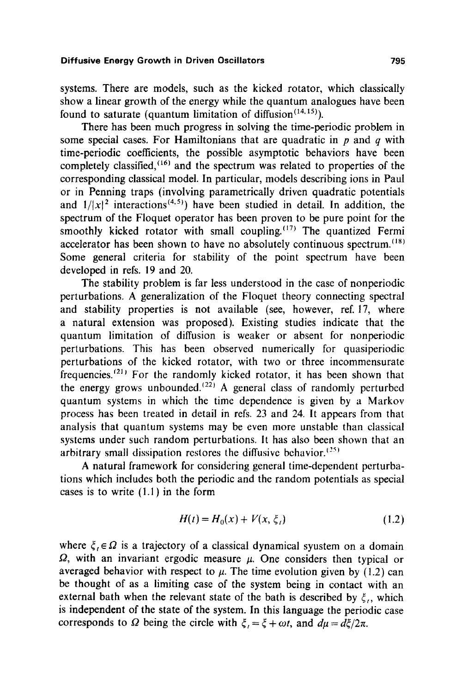systems. There are models, such as the kicked rotator, which classically show a linear growth of the energy while the quantum analogues have been found to saturate (quantum limitation of diffusion<sup> $(14,15)$ </sup>).

There has been much progress in solving the time-periodic problem in some special cases. For Hamiltonians that are quadratic in  $p$  and  $q$  with time-periodic coefficients, the possible asymptotic behaviors have been completely classified,  $(16)$  and the spectrum was related to properties of the corresponding classical model. In particular, models describing ions in Paul or in Penning traps (involving parametrically driven quadratic potentials and  $1/|x|^2$  interactions<sup>(4,5)</sup>) have been studied in detail. In addition, the spectrum of the Floquet operator has been proven to be pure point for the smoothly kicked rotator with small coupling.<sup> $(17)$ </sup> The quantized Fermi accelerator has been shown to have no absolutely continuous spectrum.<sup> $(18)$ </sup> Some general criteria for stability of the point spectrum have been developed in refs. 19 and 20.

The stability problem is far less understood in the case of nonperiodic perturbations. A generalization of the Floquet theory connecting spectral and stability properties is not available (see, however, ref. 17, where a natural extension was proposed). Existing studies indicate that the quantum limitation of diffusion is weaker or absent for nonperiodic perturbations. This has been observed numerically for quasiperiodic perturbations of the kicked rotator, with two or three incommensurate frequencies.<sup>(21)</sup> For the randomly kicked rotator, it has been shown that the energy grows unbounded. $(22)$  A general class of randomly perturbed quantum systems in which the time dependence is given by a Markov process has been treated in detail in refs. 23 and 24. It appears from that analysis that quantum systems may be even more unstable than classical systems under such random perturbations. It has also been shown that an arbitrary small dissipation restores the diffusive behavior.  $^{(25)}$ 

A natural framework for considering general time-dependent perturbations which includes both the periodic and the random potentials as special cases is to write (1.1) in the form

$$
H(t) = H_0(x) + V(x, \xi_t)
$$
 (1.2)

where  $\xi_i \in \Omega$  is a trajectory of a classical dynamical syustem on a domain  $\Omega$ , with an invariant ergodic measure  $\mu$ . One considers then typical or averaged behavior with respect to  $\mu$ . The time evolution given by (1.2) can be thought of as a limiting case of the system being in contact with an external bath when the relevant state of the bath is described by  $\xi_i$ , which is independent of the state of the system. In this language the periodic case corresponds to  $\Omega$  being the circle with  $\zeta = \zeta + \omega t$ , and  $d\mu = d\zeta/2\pi$ .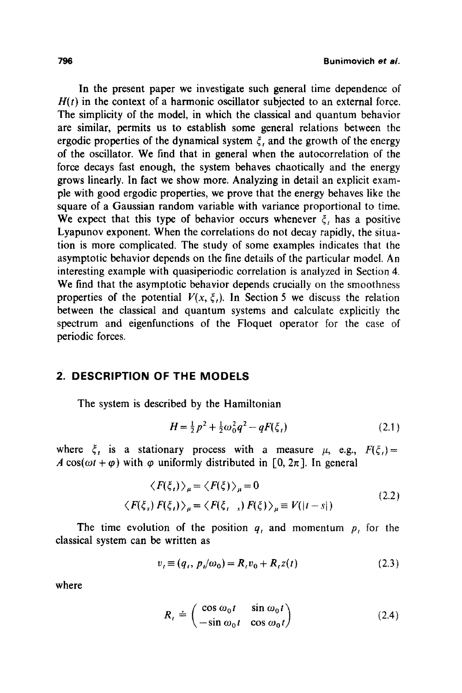In the present paper we investigate such general time dependence of  $H(t)$  in the context of a harmonic oscillator subjected to an external force. The simplicity of the model, in which the classical and quantum behavior are similar, permits us to establish some general relations between the ergodic properties of the dynamical system  $\xi$ , and the growth of the energy of the oscillator. We find that in general when the autoeorrelation of the force decays fast enough, the system behaves chaotically and the energy grows linearly. In fact we show more. Analyzing in detail an explicit example with good ergodic properties, we prove that the energy behaves like the square of a Gaussian random variable with variance proportional to time. We expect that this type of behavior occurs whenever  $\xi$ , has a positive Lyapunov exponent. When the correlations do not decay rapidly, the situation is more complicated. The study of some examples indicates that the asymptotic behavior depends on the fine details of the particular model. An interesting example with quasiperiodic correlation is analyzed in Section 4. We find that the asymptotic behavior depends crucially on the smoothness properties of the potential  $V(x, \xi)$ . In Section 5 we discuss the relation between the classical and quantum systems and calculate explicitly the spectrum and eigenfunctions of the Floquet operator for the case of periodic forces.

# **2. DESCRIPTION OF THE MODELS**

The system is described by the Hamiltonian

$$
H = \frac{1}{2}p^2 + \frac{1}{2}\omega_0^2 q^2 - qF(\xi_t)
$$
 (2.1)

where  $\xi_i$  is a stationary process with a measure  $\mu$ , e.g.,  $F(\xi_i) =$ A cos( $\omega t + \varphi$ ) with  $\varphi$  uniformly distributed in [0, 2 $\pi$ ]. In general

$$
\langle F(\xi_t) \rangle_{\mu} = \langle F(\xi) \rangle_{\mu} = 0
$$
  

$$
\langle F(\xi_s) F(\xi_t) \rangle_{\mu} = \langle F(\xi_{t-s}) F(\xi) \rangle_{\mu} \equiv V(|t-s|)
$$
 (2.2)

The time evolution of the position  $q_i$ , and momentum  $p_i$  for the classical system can be written as

$$
v_t \equiv (q_t, \, p_t/\omega_0) = R_t v_0 + R_t z(t) \tag{2.3}
$$

where

$$
R_{t} \doteq \begin{pmatrix} \cos \omega_{0} t & \sin \omega_{0} t \\ -\sin \omega_{0} t & \cos \omega_{0} t \end{pmatrix}
$$
 (2.4)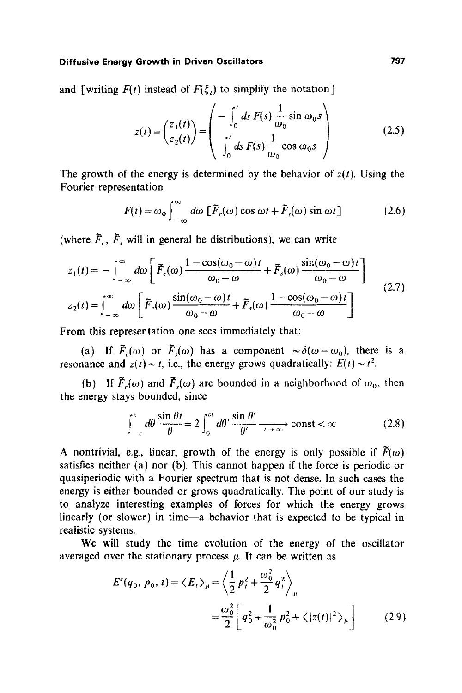and [writing  $F(t)$  instead of  $F(\xi_t)$  to simplify the notation]

$$
z(t) = \begin{pmatrix} z_1(t) \\ z_2(t) \end{pmatrix} = \begin{pmatrix} -\int_0^t ds F(s) \frac{1}{\omega_0} \sin \omega_0 s \\ \int_0^t ds F(s) \frac{1}{\omega_0} \cos \omega_0 s \end{pmatrix}
$$
(2.5)

The growth of the energy is determined by the behavior of  $z(t)$ . Using the Fourier representation

$$
F(t) = \omega_0 \int_{-\infty}^{\infty} d\omega \, \left[ \tilde{F}_c(\omega) \cos \omega t + \tilde{F}_s(\omega) \sin \omega t \right] \tag{2.6}
$$

(where  $\tilde{F}_c$ ,  $\tilde{F}_s$  will in general be distributions), we can write

$$
z_1(t) = -\int_{-\infty}^{\infty} d\omega \left[ \tilde{F}_c(\omega) \frac{1 - \cos((\omega_0 - \omega)t)}{\omega_0 - \omega} + \tilde{F}_s(\omega) \frac{\sin((\omega_0 - \omega)t)}{\omega_0 - \omega} \right]
$$
  
(2.7)

$$
z_2(t) = \int_{-\infty}^{\infty} d\omega \left[ \tilde{F}_c(\omega) \frac{\sin((\omega_0 - \omega)t)}{\omega_0 - \omega} + \tilde{F}_s(\omega) \frac{1 - \cos((\omega_0 - \omega)t)}{\omega_0 - \omega} \right]
$$

From this representation one sees immediately that:

(a) If  $\tilde{F}_c(\omega)$  or  $\tilde{F}_s(\omega)$  has a component  $\sim \delta(\omega-\omega_0)$ , there is a resonance and  $z(t) \sim t$ , i.e., the energy grows quadratically:  $E(t) \sim t^2$ .

(b) If  $\tilde{F}_n(\omega)$  and  $\tilde{F}_n(\omega)$  are bounded in a neighborhood of  $\omega_0$ , then the energy stays bounded, since

$$
\int_{-\epsilon}^{\epsilon} d\theta \, \frac{\sin \theta t}{\theta} = 2 \int_{0}^{\epsilon t} d\theta' \, \frac{\sin \theta'}{\theta'} \xrightarrow[t \to \infty]{} const < \infty
$$
 (2.8)

A nontrivial, e.g., linear, growth of the energy is only possible if  $\bar{F}(\omega)$ satisfies neither (a) nor (b). This cannot happen if the force is periodic or quasiperiodic with a Fourier spectrum that is not dense. In such cases the energy is either bounded or grows quadratically. The point of our study is to analyze interesting examples of forces for which the energy grows linearly (or slower) in time--a behavior that is expected to be typical in realistic systems.

We will study the time evolution of the energy of the oscillator averaged over the stationary process  $\mu$ . It can be written as

$$
E^{c}(q_{0}, p_{0}, t) = \langle E_{t} \rangle_{\mu} = \left\langle \frac{1}{2} p_{t}^{2} + \frac{\omega_{0}^{2}}{2} q_{t}^{2} \right\rangle_{\mu}
$$
  
= 
$$
\frac{\omega_{0}^{2}}{2} \left[ q_{0}^{2} + \frac{1}{\omega_{0}^{2}} p_{0}^{2} + \langle |z(t)|^{2} \rangle_{\mu} \right]
$$
(2.9)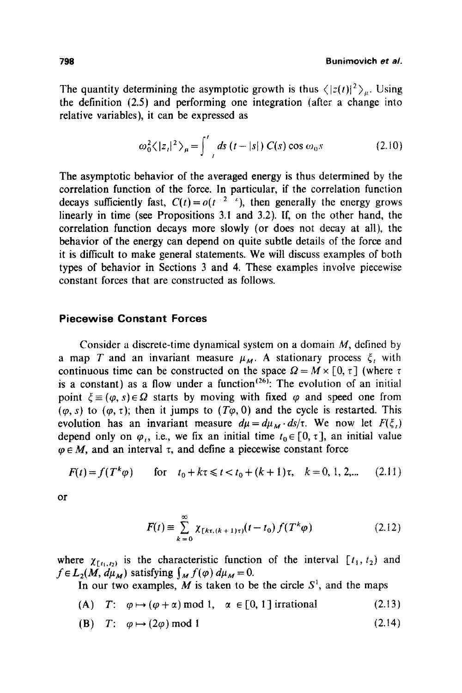The quantity determining the asymptotic growth is thus  $\langle |z(t)|^2 \rangle_{\mu}$ . Using the definition (2.5) and performing one integration (after a change into relative variables), it can be expressed as

$$
\omega_0^2 \langle |z_t|^2 \rangle_{\mu} = \int_{-t}^{t} ds \ (t - |s|) \ C(s) \cos \omega_0 s \tag{2.10}
$$

The asymptotic behavior of the averaged energy is thus determined by the correlation function of the force. In particular, if the correlation function decays sufficiently fast,  $C(t) = o(t^{-2} \epsilon)$ , then generally the energy grows linearly in time (see Propositions 3.1 and 3.2). If, on the other hand, the correlation function decays more slowly (or does not decay at all), the behavior of the energy can depend on quite subtle details of the force and it is difficult to make general statements. We will discuss examples of both types of behavior in Sections 3 and 4. These examples involve piecewise constant forces that are constructed as follows.

# **Piecewise Constant Forces**

Consider a discrete-time dynamical system on a domain M, defined by a map T and an invariant measure  $\mu_M$ . A stationary process  $\xi_t$  with continuous time can be constructed on the space  $\Omega = M \times [0, \tau]$  (where  $\tau$ is a constant) as a flow under a function<sup> $(26)$ </sup>. The evolution of an initial point  $\xi = (\varphi, s) \in \Omega$  starts by moving with fixed  $\varphi$  and speed one from  $(\varphi, s)$  to  $(\varphi, \tau)$ ; then it jumps to  $(T\varphi, 0)$  and the cycle is restarted. This evolution has an invariant measure  $d\mu = d\mu_M \cdot ds/\tau$ . We now let  $F(\xi_i)$ depend only on  $\varphi_i$ , i.e., we fix an initial time  $t_0 \in [0, \tau]$ , an initial value  $\varphi \in M$ , and an interval  $\tau$ , and define a piecewise constant force

$$
F(t) = f(T^k \varphi) \qquad \text{for} \quad t_0 + k\tau \leq t < t_0 + (k+1)\tau, \quad k = 0, 1, 2, \dots \tag{2.11}
$$

or

$$
F(t) = \sum_{k=0}^{\infty} \chi_{[k\tau, (k+1)\tau)}(t - t_0) f(T^k \varphi)
$$
 (2.12)

where  $\chi_{t_1,t_2}$  is the characteristic function of the interval  $[t_1, t_2)$  and  $f \in L_2(M, d\mu_M)$  satisfying  $\int_M f(\varphi) d\mu_M = 0$ .

In our two examples,  $M$  is taken to be the circle  $S<sup>1</sup>$ , and the maps

- (A)  $T: \varphi \mapsto (\varphi + \alpha) \mod 1, \quad \alpha \in [0, 1] \text{ irrational}$  (2.13)
- **(B)**  $T: \varphi \mapsto (2\varphi) \mod 1$  (2.14)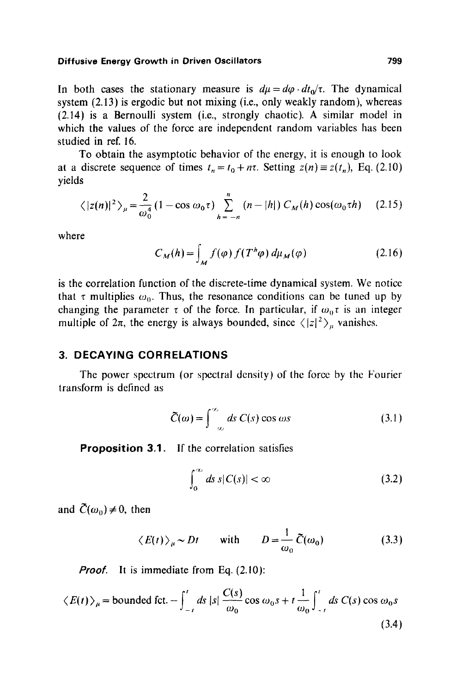In both cases the stationary measure is  $d\mu = d\varphi \cdot dt_0/\tau$ . The dynamical system (2.13) is ergodic but not mixing (i.e., only weakly random), whereas (2.14) is a Bernoulli system (i.e., strongly chaotic). A similar model in which the values of the force are independent random variables has been studied in ref. 16.

To obtain the asymptotic behavior of the energy, it is enough to look at a discrete sequence of times  $t_n = t_0 + n\tau$ . Setting  $z(n) = z(t_n)$ , Eq. (2.10) yields

$$
\langle |z(n)|^2 \rangle_{\mu} = \frac{2}{\omega_0^4} (1 - \cos \omega_0 \tau) \sum_{h=-n}^{n} (n - |h|) C_M(h) \cos(\omega_0 \tau h) \quad (2.15)
$$

where

$$
C_M(h) = \int_M f(\varphi) f(T^h \varphi) d\mu_M(\varphi)
$$
 (2.16)

is the correlation function of the discrete-time dynamical system. We notice that  $\tau$  multiplies  $\omega_0$ . Thus, the resonance conditions can be tuned up by changing the parameter  $\tau$  of the force. In particular, if  $\omega_0 \tau$  is an integer multiple of  $2\pi$ , the energy is always bounded, since  $\langle |z|^2 \rangle_{\mu}$  vanishes.

#### **3. DECAYING CORRELATIONS**

The power spcctrum (or spectral density) of the force by the Fourier transform is defined as

$$
\tilde{C}(\omega) = \int_{-\infty}^{\infty} ds \ C(s) \cos \omega s \qquad (3.1)
$$

**Proposition 3.1.**  If the correlation satisfies

$$
\int_0^\infty ds \, s |C(s)| < \infty \tag{3.2}
$$

and  $\tilde{C}(\omega_0) \neq 0$ , then

$$
\langle E(t) \rangle_{\mu} \sim Dt
$$
 with  $D = \frac{1}{\omega_0} \tilde{C}(\omega_0)$  (3.3)

*Proof.* It is immediate from Eq. (2.10):

$$
\langle E(t) \rangle_{\mu} = \text{bounded fct.} - \int_{-t}^{t} ds \, |s| \, \frac{C(s)}{\omega_0} \cos \omega_0 s + t \frac{1}{\omega_0} \int_{-t}^{t} ds \, C(s) \cos \omega_0 s \tag{3.4}
$$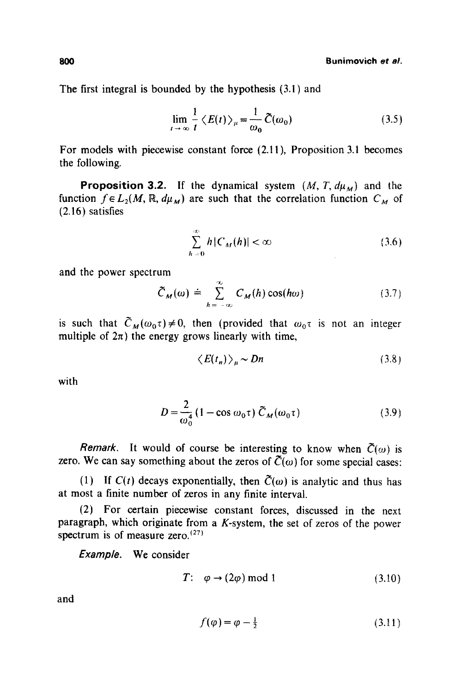The first integral is bounded by the hypothesis (3.1) and

$$
\lim_{t \to \infty} \frac{1}{t} \langle E(t) \rangle_{\mu} = \frac{1}{\omega_0} \widetilde{C}(\omega_0)
$$
 (3.5)

For models with piecewise constant force (2.11), Proposition 3.1 becomes the following.

**Proposition 3.2.** If the dynamical system  $(M, T, d\mu_M)$  and the function  $f \in L_2(M, \mathbb{R}, d\mu_M)$  are such that the correlation function  $C_M$  of **(2.16)** satisfies

$$
\sum_{h=0}^{\infty} h|C_M(h)| < \infty \tag{3.6}
$$

and the power spectrum

$$
\tilde{C}_M(\omega) \doteq \sum_{h=-\infty}^{\infty} C_M(h) \cos(h\omega) \tag{3.7}
$$

is such that  $\tilde{C}_M(\omega_0 \tau) \neq 0$ , then (provided that  $\omega_0 \tau$  is not an integer multiple of  $2\pi$ ) the energy grows linearly with time,

$$
\langle E(t_n) \rangle_{\mu} \sim Dn \tag{3.8}
$$

with

$$
D = \frac{2}{\omega_0^4} \left( 1 - \cos \omega_0 \tau \right) \tilde{C}_M(\omega_0 \tau) \tag{3.9}
$$

*Remark.* It would of course be interesting to know when  $\tilde{C}(\omega)$  is zero. We can say something about the zeros of  $\tilde{C}(\omega)$  for some special cases:

(1) If  $C(t)$  decays exponentially, then  $\tilde{C}(\omega)$  is analytic and thus has at most a finite number of zeros in any finite interval.

(2) For certain pieeewise constant forces, discussed in the next paragraph, which originate from a  $K$ -system, the set of zeros of the power spectrum is of measure zero.  $(27)$ 

*Example.* We consider

$$
T: \quad \varphi \to (2\varphi) \text{ mod } 1 \tag{3.10}
$$

**and** 

$$
f(\varphi) = \varphi - \frac{1}{2} \tag{3.11}
$$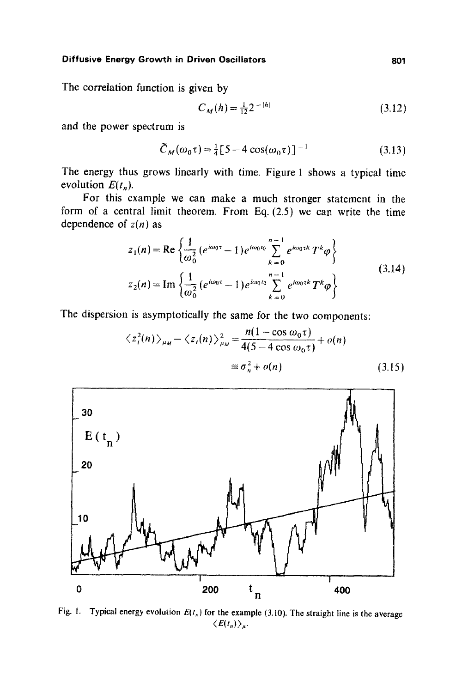### **Diffusive Energy Growth in Driven Oscillators 601 and 801 and 801 and 801 and 801**

The correlation function is given by

$$
C_M(h) = \frac{1}{12} 2^{-|h|} \tag{3.12}
$$

and the power spectrum is

$$
\tilde{C}_M(\omega_0 \tau) = \frac{1}{4} [5 - 4 \cos(\omega_0 \tau)]^{-1}
$$
 (3.13)

The energy thus grows linearly with time. Figure 1 shows a typical time evolution  $E(t_n)$ .

For this example we can make a much stronger statement in the form of a central limit theorem. From Eq. (2.5) we can write the time dependence of  $z(n)$  as

$$
z_{1}(n) = \text{Re}\left\{\frac{1}{\omega_{0}^{2}}\left(e^{i\omega_{0}\tau} - 1\right)e^{i\omega_{0}t_{0}}\sum_{k=0}^{n-1}e^{i\omega_{0}\tau k}T^{k}\varphi\right\}
$$
  
\n
$$
z_{2}(n) = \text{Im}\left\{\frac{1}{\omega_{0}^{2}}\left(e^{i\omega_{0}\tau} - 1\right)e^{i\omega_{0}t_{0}}\sum_{k=0}^{n-1}e^{i\omega_{0}\tau k}T^{k}\varphi\right\}
$$
\n(3.14)

The dispersion is asymptotically the same for the two components:

$$
\langle z_i^2(n) \rangle_{\mu_M} - \langle z_i(n) \rangle_{\mu_M}^2 = \frac{n(1 - \cos \omega_0 \tau)}{4(5 - 4 \cos \omega_0 \tau)} + o(n)
$$
  

$$
\equiv \sigma_n^2 + o(n) \qquad (3.15)
$$

 $\mathcal{L}$ 



Fig. 1. Typical energy evolution  $E(t_n)$  for the example (3.10). The straight line is the average  $\langle E(t_n)\rangle_{\mu}$ .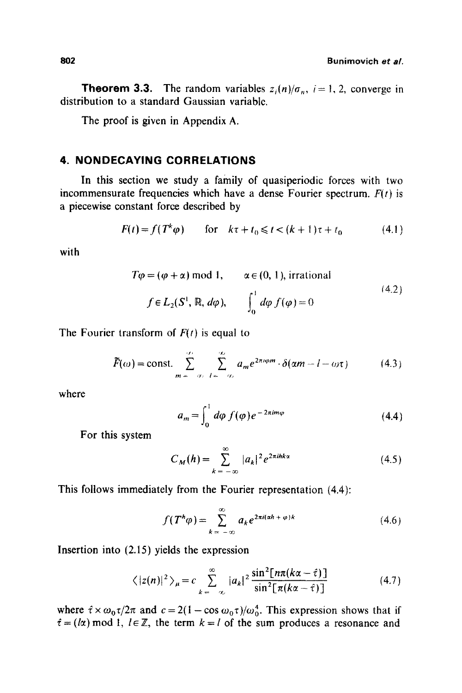**802 Bunimovich** *et al.* 

**Theorem 3.3.** The random variables  $z_i(n)/\sigma_n$ ,  $i=1, 2$ , converge in distribution to a standard Gaussian variable.

The proof is given in Appendix A.

# **4. NONDECAYING CORRELATIONS**

In this section we study a family of quasiperiodic forces with two incommensurate frequencies which have a dense Fourier spectrum.  $F(t)$  is a piecewise constant force described by

$$
F(t) = f(T^k \varphi) \qquad \text{for} \quad k\tau + t_0 \le t < (k+1)\tau + t_0 \tag{4.1}
$$

with

$$
T\varphi = (\varphi + \alpha) \mod 1, \qquad \alpha \in (0, 1), \text{ irrational}
$$
  

$$
f \in L_2(S^1, \mathbb{R}, d\varphi), \qquad \int_0^1 d\varphi \, f(\varphi) = 0
$$
 (4.2)

The Fourier transform of *F(t)* is equal to

$$
\widetilde{F}(\omega) = \text{const.} \sum_{m=-\infty}^{\infty} \sum_{l=-\infty}^{\infty} a_m e^{2\pi i \varphi m} \cdot \delta(\alpha m - l - \omega \tau) \tag{4.3}
$$

where

$$
a_m = \int_0^1 d\varphi \, f(\varphi) e^{-2\pi i m\varphi} \tag{4.4}
$$

For this system

$$
C_M(h) = \sum_{k=-\infty}^{\infty} |a_k|^2 e^{2\pi i h k \alpha}
$$
 (4.5)

This follows immediately from the Fourier representation (4.4):

$$
f(T^h\varphi) = \sum_{k=-\infty}^{\infty} a_k e^{2\pi i(\alpha h + \varphi)k}
$$
 (4.6)

Insertion into (2.15) yields the expression

$$
\langle |z(n)|^2 \rangle_{\mu} = c \sum_{k=-\infty}^{\infty} |a_k|^2 \frac{\sin^2[n\pi(k\alpha - \hat{\tau})]}{\sin^2[\pi(k\alpha - \hat{\tau})]}
$$
(4.7)

where  $\hat{\tau} \times \omega_0 \tau / 2\pi$  and  $c = 2(1 - \cos \omega_0 \tau) / \omega_0^4$ . This expression shows that if  $\hat{\tau} = (l\alpha) \mod 1$ ,  $l \in \mathbb{Z}$ , the term  $k = l$  of the sum produces a resonance and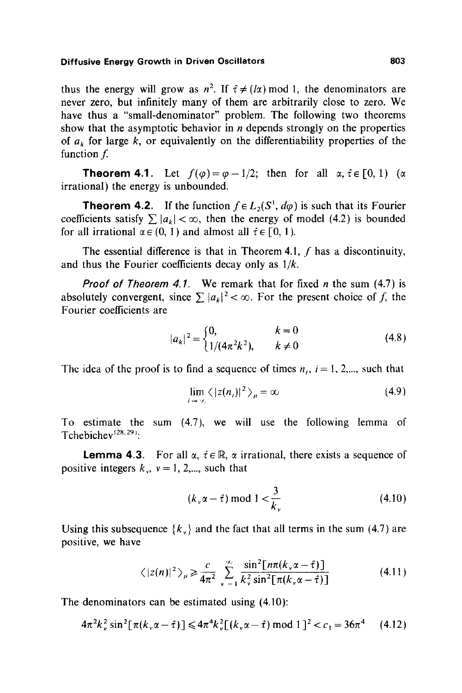thus the energy will grow as  $n^2$ . If  $\hat{\tau} \neq (1\alpha) \text{ mod } 1$ , the denominators are never zero, but infinitely many of them are arbitrarily close to zero. We have thus a "small-denominator" problem. The following two theorems show that the asymptotic behavior in  $n$  depends strongly on the properties of  $a_k$  for large k, or equivalently on the differentiability properties of the function  $f$ .

**Theorem 4.1.** Let  $f(\varphi) = \varphi - 1/2$ ; then for all  $\alpha, \hat{\tau} \in [0, 1)$  ( $\alpha$ irrational) the energy is unbounded.

**Theorem 4.2.** If the function  $f \in L_2(S^1, d\varphi)$  is such that its Fourier coefficients satisfy  $\sum |a_k| < \infty$ , then the energy of model (4.2) is bounded for all irrational  $\alpha \in (0, 1)$  and almost all  $\hat{\tau} \in [0, 1)$ .

The essential difference is that in Theorem 4.1, f has a discontinuity, and thus the Fourier coefficients decay only as *1/k.* 

*Proof of Theorem 4.1.* We remark that for fixed  $n$  the sum  $(4.7)$  is absolutely convergent, since  $\sum |a_k|^2 < \infty$ . For the present choice of f, the Fourier coefficients are

$$
|a_k|^2 = \begin{cases} 0, & k = 0\\ 1/(4\pi^2 k^2), & k \neq 0 \end{cases}
$$
 (4.8)

The idea of the proof is to find a sequence of times  $n_i$ ,  $i = 1, 2, \dots$ , such that

$$
\lim_{i \to \infty} \langle |z(n_i)|^2 \rangle_{\mu} = \infty \tag{4.9}
$$

To estimate the sum (4.7), we will use the following lemma of Tchebichev $^{(28,29)}$ :

**Lemma 4.3.** For all  $\alpha$ ,  $\hat{\tau} \in \mathbb{R}$ ,  $\alpha$  irrational, there exists a sequence of positive integers  $k_v$ ,  $v = 1, 2,...$ , such that

$$
(k_{\nu}\alpha - \hat{\tau}) \bmod 1 < \frac{3}{k_{\nu}} \tag{4.10}
$$

Using this subsequence  $\{k_{y}\}\$  and the fact that all terms in the sum (4.7) are positive, we have

$$
\langle |z(n)|^2 \rangle_{\mu} \geq \frac{c}{4\pi^2} \sum_{\nu=1}^{\infty} \frac{\sin^2[n\pi(k_v\alpha - \hat{\tau})]}{k_v^2 \sin^2[\pi(k_v\alpha - \hat{\tau})]}
$$
(4.11)

The denominators can be estimated using (4.10):

$$
4\pi^2 k_v^2 \sin^2[\pi(k_v\alpha - \hat{\tau})] \leq 4\pi^4 k_v^2 [(k_v\alpha - \hat{\tau}) \bmod 1]^2 < c_1 = 36\pi^4 \qquad (4.12)
$$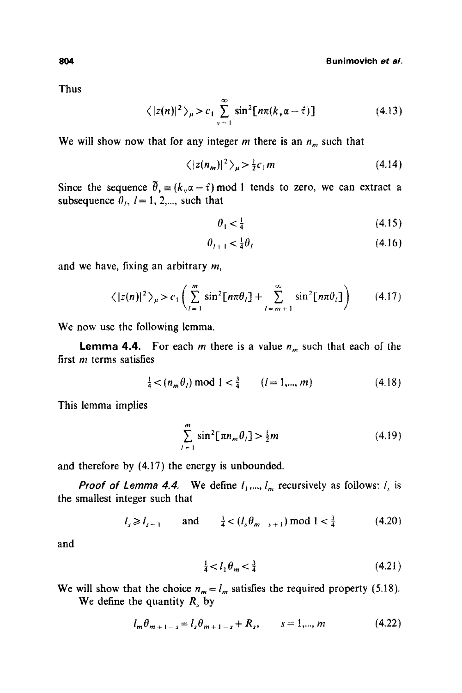Thus

$$
\langle |z(n)|^2 \rangle_{\mu} > c_1 \sum_{\nu=1}^{\infty} \sin^2[n\pi(k,\alpha-\hat{\tau})]
$$
 (4.13)

We will show now that for any integer  $m$  there is an  $n_m$  such that

$$
\langle |z(n_m)|^2 \rangle_{\mu} > \frac{1}{2} c_1 m \tag{4.14}
$$

Since the sequence  $\hat{\theta}_v = (k_v \alpha - \hat{\tau}) \text{ mod } 1$  tends to zero, we can extract a subsequence  $\theta_i$ ,  $l = 1, 2, \dots$ , such that

$$
\theta_1 < \frac{1}{4} \tag{4.15}
$$

$$
\theta_{t+1} < \frac{1}{4}\theta_t \tag{4.16}
$$

and we have, fixing an arbitrary m,

$$
\langle |z(n)|^2 \rangle_{\mu} > c_1 \left( \sum_{i=1}^m \sin^2[n\pi\theta_i] + \sum_{i=m+1}^\infty \sin^2[n\pi\theta_i] \right) \qquad (4.17)
$$

We now use the following lemma.

**Lemma 4.4.** For each m there is a value  $n_m$  such that each of the first  *terms satisfies* 

$$
\frac{1}{4} < (n_m \theta_l) \mod 1 < \frac{3}{4} \qquad (l = 1, \dots, m) \tag{4.18}
$$

This lemma implies

$$
\sum_{l=1}^{m} \sin^2[\pi n_m \theta_l] > \frac{1}{2}m \tag{4.19}
$$

and therefore by (4.17) the energy is unbounded.

*Proof of Lemma 4.4.* We define  $l_1, ..., l_m$  recursively as follows:  $l_s$  is the smallest integer such that

 $l_s \ge l_{s-1}$  and  $\frac{1}{4} < (l_s \theta_{m_{s+1}}) \text{ mod } 1 < \frac{3}{4}$  (4.20)

and

$$
\frac{1}{4} < l_1 \theta_m < \frac{3}{4} \tag{4.21}
$$

We will show that the choice  $n_m = l_m$  satisfies the required property (5.18).

We define the quantity  $R_s$  by

$$
l_m \theta_{m+1-s} = l_s \theta_{m+1-s} + R_s, \qquad s = 1,..., m \tag{4.22}
$$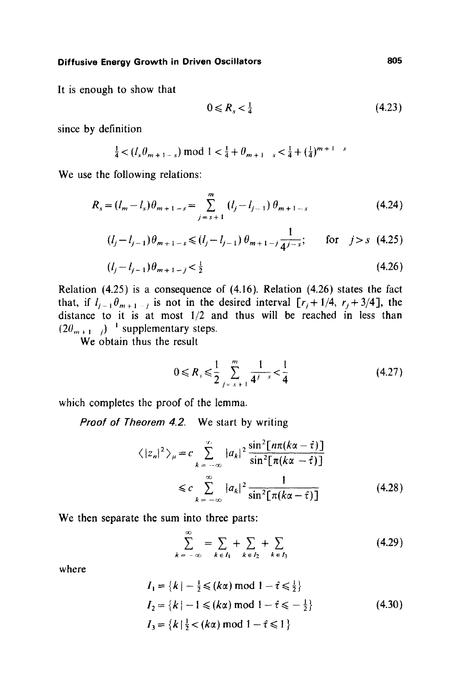It is enough to show that

$$
0 \leqslant R_s < \frac{1}{4} \tag{4.23}
$$

since by definition

$$
\frac{1}{4} < (l_s \theta_{m+1-s}) \bmod 1 < \frac{1}{4} + \theta_{m+1-s} < \frac{1}{4} + (\frac{1}{4})^{m+1-s}
$$

We use the following relations:

$$
R_s = (l_m - l_s)\theta_{m+1-s} = \sum_{j=s+1}^m (l_j - l_{j-1})\theta_{m+1-s}
$$
(4.24)

$$
(l_j - l_{j-1})\theta_{m+1-s} \leq (l_j - l_{j-1})\theta_{m+1-j}\frac{1}{4^{j-s}}; \quad \text{for} \quad j > s \quad (4.25)
$$

$$
(l_j - l_{j-1})\theta_{m+1-j} < \frac{1}{2} \tag{4.26}
$$

Relation (4.25) is a consequence of (4.16). Relation (4.26) states the fact that, if  $l_{i-1}\theta_{m+1-i}$  is not in the desired interval  $[r_i+1/4, r_j+3/4]$ , the distance to it is at most 1/2 and thus will be reached in less than  $(2\theta_{m+1})^{-1}$  supplementary steps.

 $\overrightarrow{W}$  obtain thus the result

$$
0 \leq R_s \leq \frac{1}{2} \sum_{j=s+1}^{m} \frac{1}{4^{j-s}} < \frac{1}{4}
$$
 (4.27)

which completes the proof of the lemma.

*Proof of Theorem 4.2.*  We start by writing

$$
\langle |z_n|^2 \rangle_{\mu} = c \sum_{k=-\infty}^{\infty} |a_k|^2 \frac{\sin^2[n\pi(k\alpha - \hat{\tau})]}{\sin^2[\pi(k\alpha - \hat{\tau})]}
$$
  

$$
\leq c \sum_{k=-\infty}^{\infty} |a_k|^2 \frac{1}{\sin^2[\pi(k\alpha - \hat{\tau})]}
$$
(4.28)

We then separate the sum into three parts:

$$
\sum_{k=-\infty}^{\infty} = \sum_{k \in I_1} + \sum_{k \in I_2} + \sum_{k \in I_3}
$$
 (4.29)

where

$$
I_1 = \{k \mid -\frac{1}{2} \le (k\alpha) \mod 1 - \hat{\tau} \le \frac{1}{2} \}
$$
  
\n
$$
I_2 = \{k \mid -1 \le (k\alpha) \mod 1 - \hat{\tau} \le -\frac{1}{2} \}
$$
  
\n
$$
I_3 = \{k \mid \frac{1}{2} < (k\alpha) \mod 1 - \hat{\tau} \le 1 \}
$$
  
\n(4.30)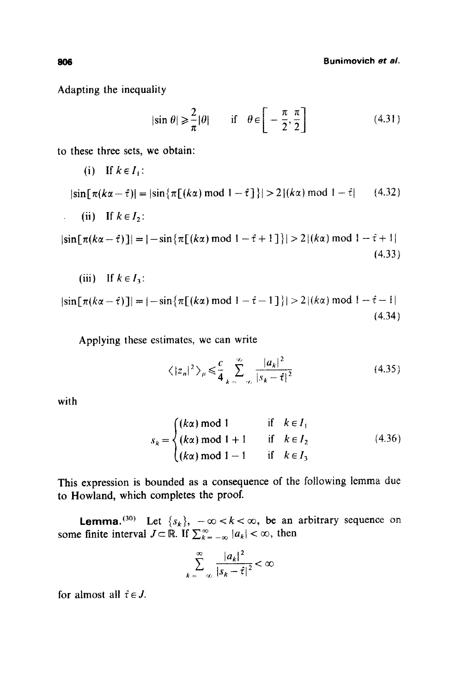**806 Bunimovieh** *et aL* 

Adapting the inequality

(iii) If  $k \in I_3$ :

$$
|\sin \theta| \geqslant \frac{2}{\pi} |\theta| \qquad \text{if} \quad \theta \in \left[ -\frac{\pi}{2}, \frac{\pi}{2} \right] \tag{4.31}
$$

to these three sets, we obtain:

(i) If 
$$
k \in I_1
$$
:  
\n
$$
|\sin[\pi(k\alpha - \hat{\tau})| = |\sin{\pi[(k\alpha) \mod 1 - \hat{\tau}]}| > 2 | (k\alpha) \mod 1 - \hat{\tau} |
$$
\n(ii) If  $k \in I_2$ :  
\n
$$
|\sin[\pi(k\alpha - \hat{\tau})]| = |- \sin{\pi[(k\alpha) \mod 1 - \hat{\tau} + 1]}| > 2 | (k\alpha) \mod 1 - \hat{\tau} + 1 |
$$
\n(4.33)

$$
|\sin[\pi(k\alpha - \hat{\tau})]| = |-\sin\{\pi[(k\alpha) \mod 1 - \hat{\tau} - 1]\}| > 2|(k\alpha) \mod 1 - \hat{\tau} - 1|
$$
\n(4.34)

Applying these estimates, we can write

$$
\langle |z_n|^2 \rangle_{\mu} \leq \frac{c}{4} \sum_{k=-\infty}^{\infty} \frac{|a_k|^2}{|s_k - \hat{\tau}|^2}
$$
 (4.35)

with

$$
s_k = \begin{cases} (k\alpha) \text{ mod } 1 & \text{if } k \in I_1 \\ (k\alpha) \text{ mod } 1 + 1 & \text{if } k \in I_2 \\ (k\alpha) \text{ mod } 1 - 1 & \text{if } k \in I_3 \end{cases}
$$
(4.36)

This expression is bounded as a consequence of the following iemma due to Howland, which completes the proof.

**Lemma.** (30) Let  $\{s_k\}$ ,  $-\infty < k < \infty$ , be an arbitrary sequence on some finite interval  $J \subset \mathbb{R}$ . If  $\sum_{k=-\infty}^{\infty} |a_k| < \infty$ , then

$$
\sum_{k=-\infty}^{\infty} \frac{|a_k|^2}{|s_k - \hat{\tau}|^2} < \infty
$$

for almost all  $\hat{\tau} \in J$ .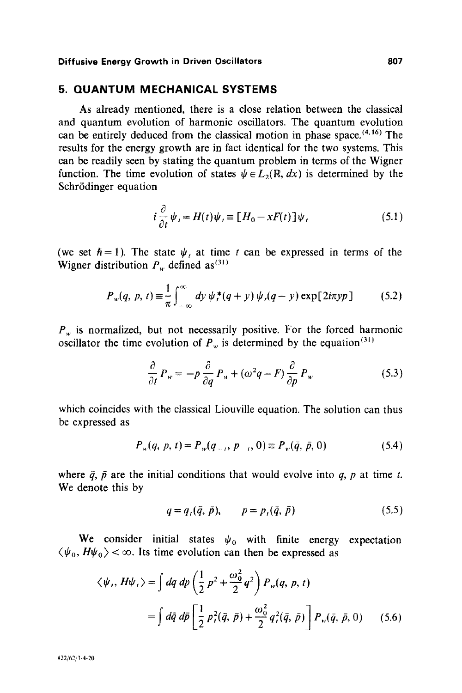### **5. QUANTUM MECHANICAL SYSTEMS**

As already mentioned, there is a close relation between the classical and quantum evolution of harmonic oscillators. The quantum evolution can be entirely deduced from the classical motion in phase space.  $(4, 16)$  The results for the energy growth are in fact identical for the two systems. This can be readily seen by stating the quantum problem in terms of the Wigner function. The time evolution of states  $\psi \in L_2(\mathbb{R}, dx)$  is determined by the Schrödinger equation

$$
i\frac{\partial}{\partial t}\psi_t = H(t)\psi_t \equiv [H_0 - xF(t)]\psi_t
$$
\n(5.1)

(we set  $\hbar = 1$ ). The state  $\psi_t$ , at time t can be expressed in terms of the Wigner distribution  $P_w$  defined as<sup>(31)</sup>

$$
P_w(q, p, t) \equiv \frac{1}{\pi} \int_{-\infty}^{\infty} dy \, \psi_t^*(q+y) \, \psi_t(q-y) \exp[2i\pi yp] \tag{5.2}
$$

 $P_w$  is normalized, but not necessarily positive. For the forced harmonic oscillator the time evolution of  $P<sub>w</sub>$  is determined by the equation  $(31)$ 

$$
\frac{\partial}{\partial t} P_w = -p \frac{\partial}{\partial q} P_w + (\omega^2 q - F) \frac{\partial}{\partial p} P_w \tag{5.3}
$$

which coincides with the classical Liouville equation. The solution can thus be expressed as

$$
P_w(q, p, t) = P_w(q_{-t}, p_{-t}, 0) \equiv P_w(\bar{q}, \bar{p}, 0) \tag{5.4}
$$

where  $\bar{q}$ ,  $\bar{p}$  are the initial conditions that would evolve into q, p at time t. We denote this by

$$
q = q_{\iota}(\bar{q}, \bar{p}), \qquad p = p_{\iota}(\bar{q}, \bar{p}) \tag{5.5}
$$

We consider initial states  $\psi_0$  with finite energy expectation  $\langle \psi_0, H \psi_0 \rangle$  <  $\infty$ . Its time evolution can then be expressed as

$$
\langle \psi_{i}, H\psi_{i} \rangle = \int dq \, dp \left( \frac{1}{2} p^{2} + \frac{\omega_{0}^{2}}{2} q^{2} \right) P_{w}(q, p, t)
$$

$$
= \int d\bar{q} \, d\bar{p} \left[ \frac{1}{2} p_{i}^{2}(\bar{q}, \bar{p}) + \frac{\omega_{0}^{2}}{2} q_{i}^{2}(\bar{q}, \bar{p}) \right] P_{w}(\bar{q}, \bar{p}, 0) \qquad (5.6)
$$

822/62/3-4-20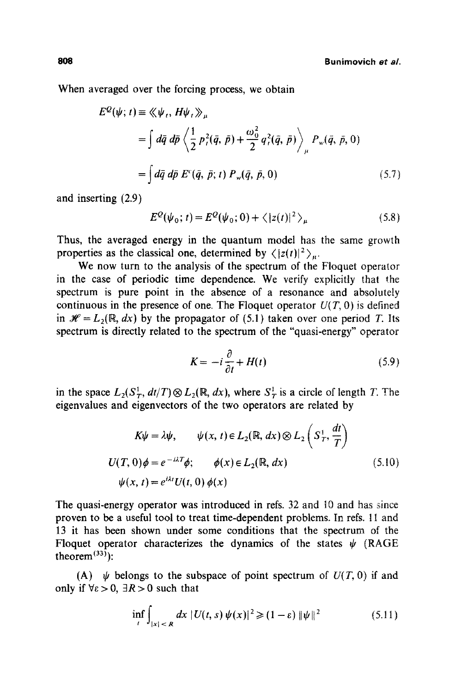When averaged over the forcing process, we obtain

$$
E^{Q}(\psi; t) \equiv \langle \langle \psi_{t}, H\psi_{t} \rangle \rangle_{\mu}
$$
  
=  $\int d\bar{q} d\bar{p} \langle \frac{1}{2} p_{t}^{2}(\bar{q}, \bar{p}) + \frac{\omega_{0}^{2}}{2} q_{t}^{2}(\bar{q}, \bar{p}) \rangle_{\mu} P_{w}(\bar{q}, \bar{p}, 0)$   
=  $\int d\bar{q} d\bar{p} E^{c}(\bar{q}, \bar{p}; t) P_{w}(\bar{q}, \bar{p}, 0)$  (5.7)

and inserting (2.9)

$$
E^{Q}(\psi_0; t) = E^{Q}(\psi_0; 0) + \langle |z(t)|^2 \rangle_{\mu}
$$
 (5.8)

Thus, the averaged energy in the quantum model has the same growth properties as the classical one, determined by  $\langle |z(t)|^2 \rangle_{\mu}$ .

We now turn to the analysis of the spectrum of the Floquet operator in the case of periodic time dependence. We verify explicitly that the spectrum is pure point in the absence of a resonance and absolutely continuous in the presence of one. The Floquet operator  $U(T, 0)$  is defined in  $\mathcal{H} = L_2(\mathbb{R}, dx)$  by the propagator of (5.1) taken over one period T. Its spectrum is directly related to the spectrum of the "quasi-energy" operator

$$
K = -i\frac{\partial}{\partial t} + H(t) \tag{5.9}
$$

in the space  $L_2(S_T^1, dt/T) \otimes L_2(\mathbb{R}, dx)$ , where  $S_T^1$  is a circle of length T. The eigenvalues and eigenvectors of the two operators are related by

$$
K\psi = \lambda \psi, \qquad \psi(x, t) \in L_2(\mathbb{R}, dx) \otimes L_2\left(S_T^+, \frac{dt}{T}\right)
$$
  
 
$$
U(T, 0)\phi = e^{-i\lambda T}\phi; \qquad \phi(x) \in L_2(\mathbb{R}, dx)
$$
  
 
$$
\psi(x, t) = e^{i\lambda t}U(t, 0)\phi(x)
$$
 (5.10)

The quasi-energy operator was introduced in refs. 32 and l0 and has since proven to be a useful tool to treat time-dependent problems. In refs. 11 and 13 it has been shown under some conditions that the spectrum of the Floquet operator characterizes the dynamics of the states  $\psi$  (RAGE theorem $^{(33)}$ :

(A)  $\psi$  belongs to the subspace of point spectrum of  $U(T, 0)$  if and only if  $\forall \epsilon > 0$ ,  $\exists R > 0$  such that

$$
\inf_{t} \int_{|x| < R} dx \, |U(t, s) \, \psi(x)|^2 \geq (1 - \varepsilon) \, \|\psi\|^2 \tag{5.11}
$$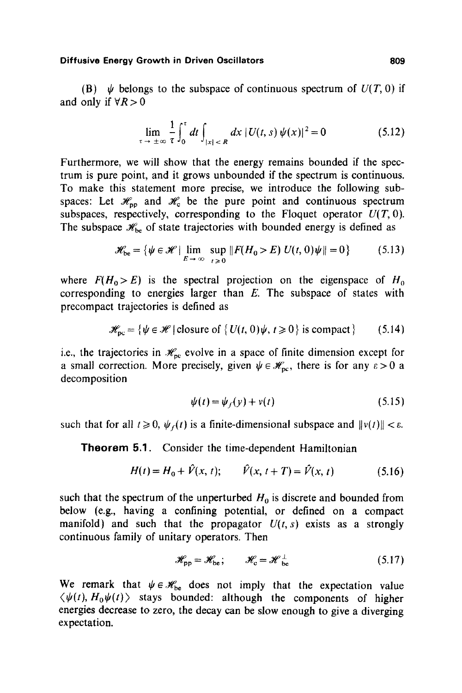(B)  $\psi$  belongs to the subspace of continuous spectrum of  $U(T, 0)$  if and only if  $\forall R > 0$ 

$$
\lim_{t \to \pm \infty} \frac{1}{\tau} \int_0^{\tau} dt \int_{|x| < R} dx \, |U(t, s) \, \psi(x)|^2 = 0 \tag{5.12}
$$

Furthermore, we will show that the energy remains bounded if the spectrum is pure point, and it grows unbounded if the spectrum is continuous. To make this statement more precise, we introduce the following subspaces: Let  $\mathcal{H}_{\text{op}}$  and  $\mathcal{H}_{\text{c}}$  be the pure point and continuous spectrum subspaces, respectively, corresponding to the Floquet operator  $U(T, 0)$ . The subspace  $\mathcal{H}_{bc}$  of state trajectories with bounded energy is defined as

$$
\mathscr{H}_{\text{be}} = \{ \psi \in \mathscr{H} \mid \lim_{E \to \infty} \sup_{t \ge 0} ||F(H_0 > E) U(t, 0)\psi|| = 0 \}
$$
 (5.13)

where  $F(H_0 > E)$  is the spectral projection on the eigenspace of  $H_0$ corresponding to energies larger than  $E$ . The subspace of states with precompact trajectories is defined as

$$
\mathscr{H}_{\text{pc}} = \{ \psi \in \mathscr{H} \mid \text{closure of } \{ U(t, 0) \psi, t \ge 0 \} \text{ is compact} \} \tag{5.14}
$$

i.e., the trajectories in  $\mathcal{H}_{pc}$  evolve in a space of finite dimension except for a small correction. More precisely, given  $\psi \in \mathscr{H}_{\text{nc}}$ , there is for any  $\varepsilon > 0$  a decomposition

$$
\psi(t) = \psi_f(y) + v(t) \tag{5.15}
$$

such that for all  $t \ge 0$ ,  $\psi_r(t)$  is a finite-dimensional subspace and  $||v(t)|| < \varepsilon$ .

Theorem 5.1. Consider the time-dependent Hamiltonian

$$
H(t) = H_0 + \hat{V}(x, t); \qquad \hat{V}(x, t + T) = \hat{V}(x, t)
$$
 (5.16)

such that the spectrum of the unperturbed  $H_0$  is discrete and bounded from below (e.g., having a confining potential, or defined on a compact manifold) and such that the propagator  $U(t, s)$  exists as a strongly continuous family of unitary operators. Then

$$
\mathscr{H}_{\rm pp} = \mathscr{H}_{\rm be}; \qquad \mathscr{H}_{\rm c} = \mathscr{H}_{\rm be}^{\perp} \tag{5.17}
$$

We remark that  $\psi \in \mathcal{H}_{be}$  does not imply that the expectation value  $\langle \psi(t), H_0 \psi(t) \rangle$  stays bounded: although the components of higher energies decrease to zero, the decay can be slow enough to give a diverging expectation.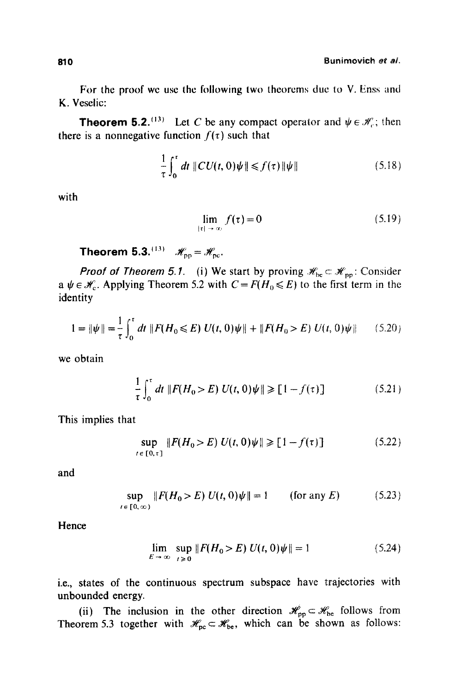For the proof we use the following two theorems due to V. Enss and K. Veselic:

**Theorem 5.2.**<sup>(13)</sup> Let C be any compact operator and  $\psi \in \mathcal{H}$ ; then there is a nonnegative function  $f(\tau)$  such that

$$
\frac{1}{\tau} \int_0^{\tau} dt \, \|CU(t,0)\psi\| \le f(\tau) \|\psi\| \tag{5.18}
$$

with

$$
\lim_{|\tau| \to \infty} f(\tau) = 0 \tag{5.19}
$$

**Theorem 5.3.**  $^{(13)}$   $\mathscr{H}_{\text{pp}} = \mathscr{H}_{\text{pc}}$ .

*Proof of Theorem 5.1.* (i) We start by proving  $\mathcal{H}_{bc} \subset \mathcal{H}_{pp}$ : Consider a  $\psi \in \mathcal{H}_c$ . Applying Theorem 5.2 with  $C = F(H_0 \leq E)$  to the first term in the identity

$$
1 = \|\psi\| = \frac{1}{\tau} \int_0^{\tau} dt \, \|F(H_0 \le E) \, U(t, 0)\psi\| + \|F(H_0 > E) \, U(t, 0)\psi\| \qquad (5.20)
$$

we obtain

$$
\frac{1}{\tau} \int_0^{\tau} dt \, \|F(H_0 > E) U(t, 0)\psi\| \ge [1 - f(\tau)] \tag{5.21}
$$

This implies that

$$
\sup_{t \in [0, \tau]} \|F(H_0 > E) U(t, 0)\psi\| \ge [1 - f(\tau)] \tag{5.22}
$$

and

$$
\sup_{t \in [0,\infty)} \|F(H_0 > E) U(t,0)\psi\| = 1 \qquad \text{(for any } E \tag{5.23}
$$

Hence

$$
\lim_{E \to \infty} \sup_{t \ge 0} ||F(H_0 > E) U(t, 0)\psi|| = 1
$$
\n(5.24)

i.e., states of the continuous spectrum subspace have trajectories with unbounded energy.

(ii) The inclusion in the other direction  $\mathcal{H}_{\text{pp}}\subset\mathcal{H}_{\text{be}}$  follows from Theorem 5.3 together with  $\mathscr{H}_{pc} \subset \mathscr{H}_{be}$ , which can be shown as follows: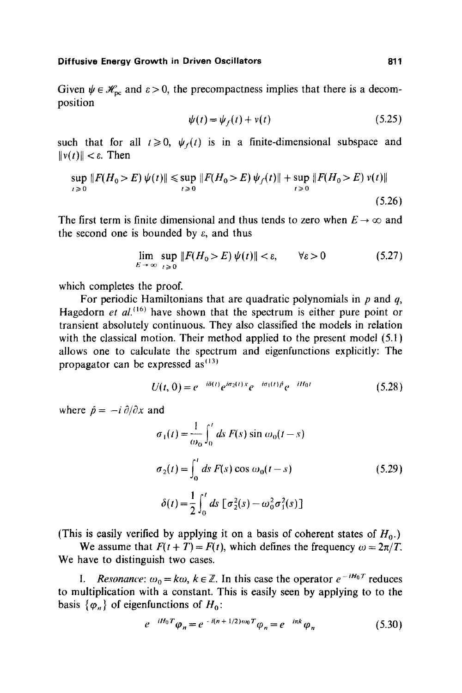Given  $\psi \in \mathcal{H}_{\text{pc}}$  and  $\varepsilon > 0$ , the precompactness implies that there is a decomposition

$$
\psi(t) = \psi_f(t) + v(t) \tag{5.25}
$$

such that for all  $t \ge 0$ ,  $\psi_f(t)$  is in a finite-dimensional subspace and  $||v(t)|| < \varepsilon$ . Then

$$
\sup_{t \geq 0} \|F(H_0 > E) \psi(t)\| \leq \sup_{t \geq 0} \|F(H_0 > E) \psi_f(t)\| + \sup_{t \geq 0} \|F(H_0 > E) \psi(t)\|
$$
\n(5.26)

The first term is finite dimensional and thus tends to zero when  $E \rightarrow \infty$  and the second one is bounded by  $\varepsilon$ , and thus

$$
\lim_{E \to \infty} \sup_{t \ge 0} \|F(H_0 > E) \psi(t)\| < \varepsilon, \qquad \forall \varepsilon > 0 \tag{5.27}
$$

which completes the proof.

For periodic Hamiltonians that are quadratic polynomials in  $p$  and  $q$ , Hagedorn *et al.*<sup>(16)</sup> have shown that the spectrum is either pure point or transient absolutely continuous. They also classified the models in relation with the classical motion. Their method applied to the present model (5.1) allows one to calculate the spectrum and eigenfunctions explicitly: The propagator can be expressed  $as^{(13)}$ 

$$
U(t, 0) = e^{-i\delta(t)} e^{i\sigma_2(t)x} e^{-i\sigma_1(t)\hat{p}} e^{-iH_0t}
$$
 (5.28)

where  $\hat{p} = -i \partial/\partial x$  and

$$
\sigma_1(t) = \frac{1}{\omega_0} \int_0^t ds \ F(s) \sin \omega_0(t - s)
$$
  
\n
$$
\sigma_2(t) = \int_0^t ds \ F(s) \cos \omega_0(t - s)
$$
 (5.29)  
\n
$$
\delta(t) = \frac{1}{2} \int_0^t ds \ [\sigma_2^2(s) - \omega_0^2 \sigma_1^2(s)]
$$

(This is easily verified by applying it on a basis of coherent states of  $H_0$ .)

We assume that  $F(t + T) = F(t)$ , which defines the frequency  $\omega = 2\pi/T$ . We have to distinguish two cases.

*I. Resonance:*  $\omega_0 = k\omega$ ,  $k \in \mathbb{Z}$ . In this case the operator  $e^{-iH_0T}$  reduces to multiplication with a constant. This is easily seen by applying to to the basis  $\{\varphi_n\}$  of eigenfunctions of  $H_0$ :

$$
e^{-iH_0T}\varphi_n = e^{-i(n+1/2)\omega_0T}\varphi_n = e^{-i\pi k}\varphi_n \tag{5.30}
$$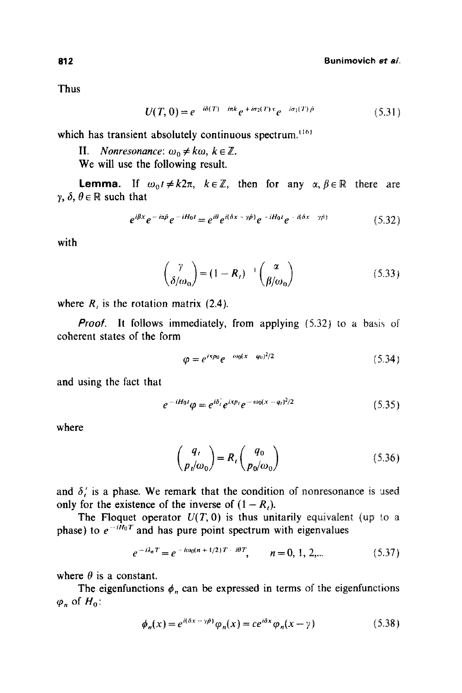Thus

$$
U(T, 0) = e^{-i\delta(T) - i\pi k} e^{+i\sigma_2(T)x} e^{-i\sigma_1(T)\hat{\rho}}
$$
\n(5.31)

which has transient absolutely continuous spectrum. $(16)$ 

II. *Nonresonance:*  $\omega_0 \neq k\omega$ ,  $k \in \mathbb{Z}$ .

We will use the following result.

**Lemma.** If  $\omega_0 t \neq k2\pi$ ,  $k \in \mathbb{Z}$ , then for any  $\alpha, \beta \in \mathbb{R}$  there are  $\gamma$ ,  $\delta$ ,  $\theta \in \mathbb{R}$  such that

$$
e^{i\beta x}e^{-i\alpha\hat{p}}e^{-iH_0t}=e^{i\theta}e^{i(\delta x-\gamma\hat{p})}e^{-iH_0t}e^{-i(\delta x-\gamma\hat{p})}
$$
(5.32)

with

$$
\begin{pmatrix} \gamma \\ \delta/\omega_0 \end{pmatrix} = (1 - R_i)^{-1} \begin{pmatrix} \alpha \\ \beta/\omega_0 \end{pmatrix}
$$
 (5.33)

where  $R_i$  is the rotation matrix (2.4).

*Proof.* It follows immediately, from applying (5.32) to a basis of coherent states of the form

$$
\varphi = e^{i\kappa p_0} e^{-i\omega_0 (x - q_0)^2/2} \tag{5.34}
$$

and using the fact that

$$
e^{-iH_0t}\varphi = e^{i\delta_t'}e^{ixp_t}e^{-i\omega_0(x-q_t)^2/2}
$$
\n(5.35)

where

$$
\binom{q_t}{p_t/\omega_0} = R_t \binom{q_0}{p_0/\omega_0} \tag{5.36}
$$

and  $\delta'$  is a phase. We remark that the condition of nonresonance is used only for the existence of the inverse of  $(1 - R<sub>t</sub>)$ .

The Floquet operator  $U(T, 0)$  is thus unitarily equivalent (up to a phase) to  $e^{-i\hat{H}_0 T}$  and has pure point spectrum with eigenvalues

$$
e^{-i\lambda_n T} = e^{-i\omega_0 (n+1/2)T - i\theta T}, \qquad n = 0, 1, 2, \dots \tag{5.37}
$$

where  $\theta$  is a constant.

The eigenfunctions  $\phi_n$  can be expressed in terms of the eigenfunctions  $\varphi_n$  of  $H_0$ :

$$
\phi_n(x) = e^{i(\delta x - \gamma \hat{\rho})} \varphi_n(x) = c e^{i\delta x} \varphi_n(x - \gamma)
$$
\n(5.38)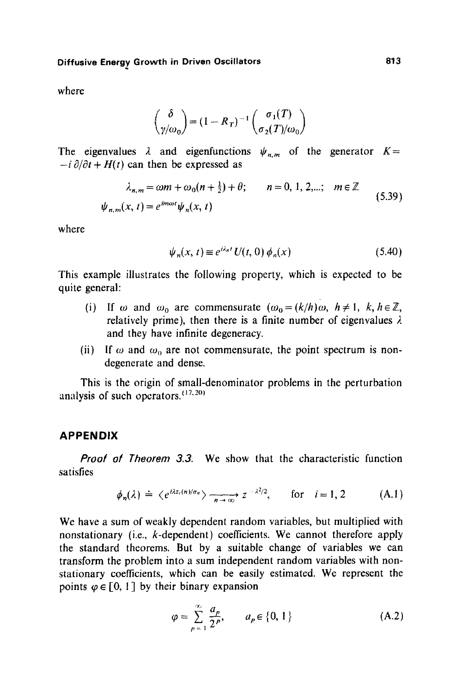where

$$
\binom{\delta}{\gamma/\omega_0} = (1 - R_T)^{-1} \binom{\sigma_1(T)}{\sigma_2(T)/\omega_0}
$$

The eigenvalues  $\lambda$  and eigenfunctions  $\psi_{n,m}$  of the generator  $K=$  $-i \partial/\partial t + H(t)$  can then be expressed as

$$
\lambda_{n,m} = \omega m + \omega_0 (n + \frac{1}{2}) + \theta; \qquad n = 0, 1, 2, \dots; \quad m \in \mathbb{Z}
$$
  

$$
\psi_{n,m}(x, t) = e^{im\omega t} \psi_n(x, t)
$$
 (5.39)

where

$$
\psi_n(x, t) \equiv e^{i\lambda_n t} U(t, 0) \phi_n(x) \tag{5.40}
$$

This example illustrates the following property, which is expected to be quite general:

- (i) If  $\omega$  and  $\omega_0$  are commensurate  $(\omega_0 = (k/h)\omega, h \ne 1, k, h \in \mathbb{Z}$ , relatively prime), then there is a finite number of eigenvalues  $\lambda$ and they have infinite degeneracy.
- (ii) If  $\omega$  and  $\omega_0$  are not commensurate, the point spectrum is nondegenerate and dense.

This is the origin of small-denominator problems in the perturbation analysis of such operators.  $(17,20)$ 

### **APPENDIX**

*Proof of Theorem 3.3.* We show that the characteristic function satisfies

$$
\phi_n(\lambda) \doteq \langle e^{i\lambda z_i(n)/\sigma_n} \rangle \xrightarrow[n \to \infty]{} z^{-\lambda^2/2}, \quad \text{for} \quad i = 1, 2 \quad (A.1)
$$

We have a sum of weakly dependent random variables, but multiplied with nonstationary (i.e., k-dependent) coefficients. We cannot therefore apply the standard theorems. But by a suitable change of variables we can transform the problem into a sum independent random variables with nonstationary coefficients, which can be easily estimated. We represent the points  $\varphi \in [0, 1]$  by their binary expansion

$$
\varphi = \sum_{p=1}^{\infty} \frac{a_p}{2^p}, \qquad a_p \in \{0, 1\}
$$
 (A.2)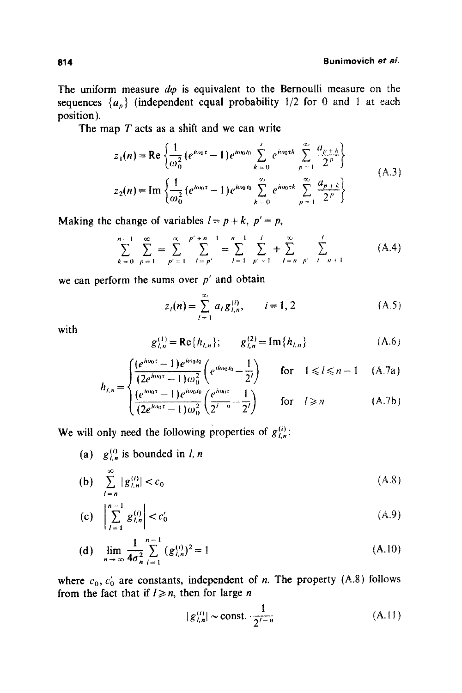The uniform measure  $d\varphi$  is equivalent to the Bernoulli measure on the sequences  ${a_n}$  (independent equal probability 1/2 for 0 and 1 at each position).

The map  $T$  acts as a shift and we can write

$$
z_1(n) = \text{Re}\left\{\frac{1}{\omega_0^2} \left(e^{i\omega_0 \tau} - 1\right) e^{i\omega_0 t_0} \sum_{k=0}^{\infty} e^{i\omega_0 \tau k} \sum_{p=1}^{\infty} \frac{a_{p+k}}{2^p} \right\}
$$
  
\n
$$
z_2(n) = \text{Im}\left\{\frac{1}{\omega_0^2} \left(e^{i\omega_0 \tau} - 1\right) e^{i\omega_0 t_0} \sum_{k=0}^{\infty} e^{i\omega_0 \tau k} \sum_{p=1}^{\infty} \frac{a_{p+k}}{2^p} \right\}
$$
 (A.3)

Making the change of variables  $l = p + k$ ,  $p' = p$ ,

$$
\sum_{k=0}^{n-1} \sum_{p=1}^{\infty} = \sum_{p'=1}^{\infty} \sum_{l=p'}^{p'+n-1} = \sum_{l=1}^{n-1} \sum_{p'=1}^{l} + \sum_{l=n-p'}^{\infty} \sum_{p' = l-n+1}^{l}
$$
 (A.4)

we can perform the sums over  $p'$  and obtain

$$
z_i(n) = \sum_{l=1}^{\infty} a_l g_{l,n}^{(i)}, \qquad i = 1, 2
$$
 (A.5)

with

$$
g_{l,n}^{(1)} = \text{Re}\{h_{l,n}\}; \qquad g_{l,n}^{(2)} = \text{Im}\{h_{l,n}\}
$$
 (A.6)

$$
\sum_{l=0}^{\infty} \frac{\left(e^{i\omega_0 \tau} - 1\right) e^{i\omega_0 t_0}}{(2e^{i\omega_0 \tau} - 1)\omega_0^2} \left(e^{i\omega_0 t_0} - \frac{1}{2^l}\right) \qquad \text{for} \quad 1 \le l \le n-1 \quad (A.7a)
$$

$$
h_{l,n} = \begin{cases} \frac{2}{(2e^{i\omega_0 \tau} - 1)e^{i\omega_0 t_0}} \left( \frac{e^{i\omega_0 \tau}}{2^{l-n} - 1} \right) & \text{for} \quad l \ge n \\ \frac{2e^{i\omega_0 \tau} - 1}{2^{l-n} - 1} & \text{for} \quad l \ge n \end{cases}
$$
 (A.7b)

We will only need the following properties of  $g_{i,n}^{(i)}$ :

(a)  $g_{i,n}^{(i)}$  is bounded in *l*, *n* 

(b) 
$$
\sum_{l=n}^{\infty} |g_{l,n}^{(i)}| < c_0 \tag{A.8}
$$

(c) 
$$
\left| \sum_{l=1}^{n-1} g_{l,n}^{(i)} \right| < c_0' \tag{A.9}
$$

(d) 
$$
\lim_{n \to \infty} \frac{1}{4\sigma_n^2} \sum_{l=1}^{n-1} (g_{l,n}^{(i)})^2 = 1
$$
 (A.10)

where  $c_0, c'_0$  are constants, independent of *n*. The property (A.8) follows from the fact that if  $l \geq n$ , then for large n

$$
|g_{l,n}^{(i)}| \sim \text{const.} \cdot \frac{1}{2^{l-n}} \tag{A.11}
$$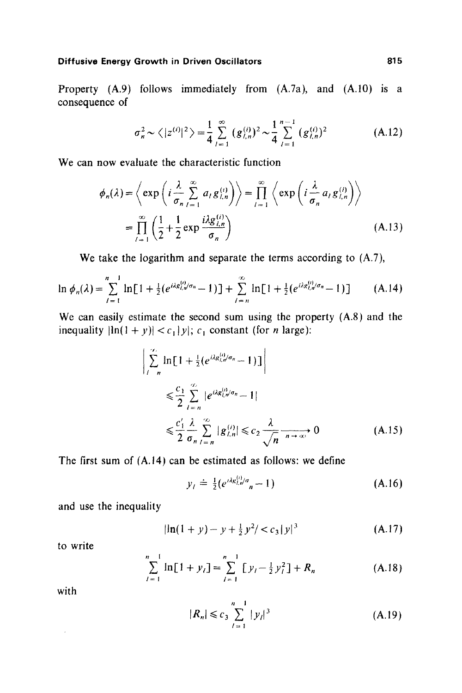# **Diffusive Energy Growth in Driven Oscillators 615 and 1997 1998**

Property (A.9) follows immediately from (A.7a), and (A.10) is a consequence of

$$
\sigma_n^2 \sim \langle |z^{(i)}|^2 \rangle = \frac{1}{4} \sum_{l=1}^{\infty} (g_{l,n}^{(i)})^2 \sim \frac{1}{4} \sum_{l=1}^{n-1} (g_{l,n}^{(i)})^2 \tag{A.12}
$$

We can now evaluate the characteristic function

$$
\phi_n(\lambda) = \left\langle \exp\left(i\frac{\lambda}{\sigma_n}\sum_{l=1}^{\infty} a_l g_{l,n}^{(i)}\right) \right\rangle = \prod_{l=1}^{\infty} \left\langle \exp\left(i\frac{\lambda}{\sigma_n} a_l g_{l,n}^{(i)}\right) \right\rangle
$$

$$
= \prod_{l=1}^{\infty} \left(\frac{1}{2} + \frac{1}{2} \exp\frac{i\lambda g_{l,n}^{(i)}}{\sigma_n}\right) \tag{A.13}
$$

**We** take the logarithm and separate the terms according to **(A.7),** 

$$
\ln \phi_n(\lambda) = \sum_{l=1}^{n-1} \ln[1 + \frac{1}{2} (e^{i\lambda g_{l,n}^{(i)}/\sigma_n} - 1)] + \sum_{l=n}^{\infty} \ln[1 + \frac{1}{2} (e^{i\lambda g_{l,n}^{(i)}/\sigma_n} - 1)] \tag{A.14}
$$

We can easily estimate the second sum using the property (A.8) and the inequality  $|\ln(1 + y)| < c_1 |y|$ ; c<sub>1</sub> constant (for *n* large):

$$
\left| \sum_{i=n}^{\infty} \ln \left[ 1 + \frac{1}{2} \left( e^{i\lambda g_{i,n}^{(i)}/\sigma_n} - 1 \right) \right] \right|
$$
  
\n
$$
\leq \frac{c_1}{2} \sum_{i=n}^{\infty} |e^{i\lambda g_{i,n}^{(i)}/\sigma_n} - 1|
$$
  
\n
$$
\leq \frac{c'_1}{2} \frac{\lambda}{\sigma_n} \sum_{i=n}^{\infty} |g_{i,n}^{(i)}| \leq c_2 \frac{\lambda}{\sqrt{n}} \xrightarrow[n \to \infty]{} 0
$$
 (A.15)

The first sum of (A.14) can be estimated as follows: we define

$$
y_i \doteq \frac{1}{2} (e^{i\lambda g_{i,n}^{(i)}/\sigma} n - 1) \tag{A.16}
$$

and use the inequality

$$
|\ln(1+y) - y + \frac{1}{2}y^2| < c_3 |y|^3 \tag{A.17}
$$

to write

$$
\sum_{l=1}^{n-1} \ln[1 + y_l] = \sum_{l=1}^{n-1} [y_l - \frac{1}{2}y_l^2] + R_n
$$
 (A.18)

with

$$
|R_n| \leqslant c_3 \sum_{l=1}^{n-1} |y_l|^3 \tag{A.19}
$$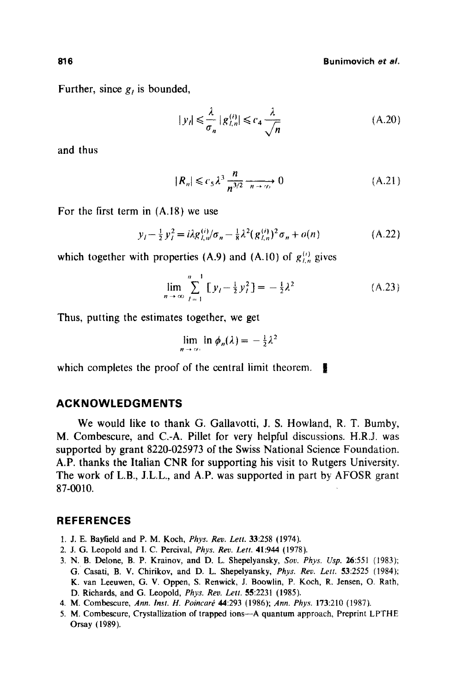**816 Bunimovich** *et aL* 

Further, since  $g_i$  is bounded,

$$
|y_i| \le \frac{\lambda}{\sigma_n} |g_{i,n}^{(i)}| \le c_4 \frac{\lambda}{\sqrt{n}}
$$
 (A.20)

and thus

$$
|R_n| \leqslant c_5 \lambda^3 \frac{n}{n^{3/2}} \xrightarrow[n \to \infty]{} 0 \tag{A.21}
$$

For the first term in (A.18) we use

$$
y_l - \frac{1}{2} y_l^2 = i \lambda g_{l,n}^{(i)} / \sigma_n - \frac{1}{8} \lambda^2 (g_{l,n}^{(i)})^2 \sigma_n + o(n) \tag{A.22}
$$

which together with properties (A.9) and (A.10) of  $g_{\ell,n}^{(i)}$  gives

$$
\lim_{n \to \infty} \sum_{l=1}^{n-1} [y_l - \frac{1}{2} y_l^2] = -\frac{1}{2} \lambda^2
$$
 (A.23)

Thus, putting the estimates together, we get

$$
\lim_{n\to\infty}\ln\phi_n(\lambda)=-\tfrac{1}{2}\lambda^2
$$

which completes the proof of the central limit theorem.  $\blacksquare$ 

### **ACKNOWLEDG M ENTS**

We would like to thank G. Gallavotti, J. S. Howland, R. T. Bumby, M. Combescure, and C.-A. Pillet for very helpful discussions. H.R.J. was supported by grant 8220-025973 of the Swiss National Science Foundation. A.P. thanks the Italian CNR for supporting his visit to Rutgers University. The work of L.B., J.L.L., and A.P. was supported in part by AFOSR grant 87-0010.

### **REFERENCES**

- 1. J. E. Bayfield and P. M. Koch, *Phys. Rev. Lett.* 33:258 (1974).
- 2. J. G. Leopold and I. C. Percival, *Phys. Rev. Left.* 41:944 (1978).
- 3. N. B. Delone, B. P. Krainov, and D. L. Shepelyansky, *Soy. Phys. Usp.* 26:551 (1983); G. Casati, B. V. Chirikov, and D. L. Shepelyansky, *Phys. Rev. Len.* 53:2525 (1984); K. van Leeuwen, G. V. Oppen, S. Renwiek, J. Boowlin, P. Koch, R. Jensen, O. Rath, D. Richards, and G. Leopold, *Phys. Rev. Lett.* 55:223t (1985).
- 4. M. Combescure, *Ann. Inst. H. Poincaré* 44:293 (1986); *Ann. Phys.* 173:210 (1987).
- 5. M. Combescure, Crystallization of trapped ions--A quantum approach, Preprint LPTHE Orsay (1989).